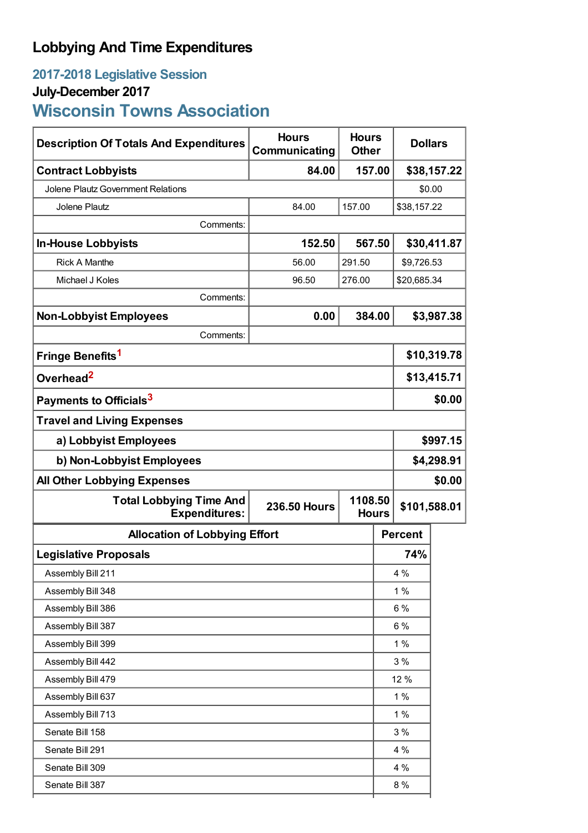## **Lobbying And Time Expenditures**

## **2017-2018 Legislative Session July-December 2017 Wisconsin Towns Association**

| <b>Description Of Totals And Expenditures</b>          | <b>Hours</b><br>Communicating                  |                       | <b>Hours</b><br><b>Other</b> |                | <b>Dollars</b> |  |
|--------------------------------------------------------|------------------------------------------------|-----------------------|------------------------------|----------------|----------------|--|
| <b>Contract Lobbyists</b>                              | 84.00                                          | 157.00                |                              | \$38,157.22    |                |  |
| Jolene Plautz Government Relations                     |                                                |                       |                              | \$0.00         |                |  |
| Jolene Plautz                                          | 84.00                                          | 157.00                |                              | \$38,157.22    |                |  |
| Comments:                                              |                                                |                       |                              |                |                |  |
| <b>In-House Lobbyists</b>                              | 152.50                                         | 567.50                |                              | \$30,411.87    |                |  |
| <b>Rick A Manthe</b>                                   | 56.00                                          | \$9,726.53<br>291.50  |                              |                |                |  |
| Michael J Koles                                        | 96.50                                          | 276.00<br>\$20,685.34 |                              |                |                |  |
| Comments:                                              |                                                |                       |                              |                |                |  |
| <b>Non-Lobbyist Employees</b>                          | 0.00                                           | 384.00                |                              | \$3,987.38     |                |  |
| Comments:                                              |                                                |                       |                              |                |                |  |
| Fringe Benefits <sup>1</sup>                           |                                                |                       |                              | \$10,319.78    |                |  |
| Overhead <sup>2</sup>                                  |                                                |                       |                              | \$13,415.71    |                |  |
| Payments to Officials <sup>3</sup>                     |                                                |                       |                              | \$0.00         |                |  |
| <b>Travel and Living Expenses</b>                      |                                                |                       |                              |                |                |  |
| a) Lobbyist Employees                                  |                                                |                       |                              | \$997.15       |                |  |
| b) Non-Lobbyist Employees                              |                                                |                       |                              | \$4,298.91     |                |  |
| <b>All Other Lobbying Expenses</b>                     |                                                |                       |                              |                | \$0.00         |  |
| <b>Total Lobbying Time And</b><br><b>Expenditures:</b> | 1108.50<br><b>236.50 Hours</b><br><b>Hours</b> |                       | \$101,588.01                 |                |                |  |
| <b>Allocation of Lobbying Effort</b>                   |                                                |                       |                              | <b>Percent</b> |                |  |
| <b>Legislative Proposals</b>                           |                                                |                       |                              | 74%            |                |  |
| Assembly Bill 211                                      |                                                |                       | 4 %                          |                |                |  |
| Assembly Bill 348                                      |                                                |                       |                              | 1%             |                |  |
| Assembly Bill 386                                      |                                                |                       | $6\%$                        |                |                |  |
| Assembly Bill 387                                      |                                                |                       |                              | $6\%$          |                |  |
| Assembly Bill 399                                      |                                                |                       |                              | 1%             |                |  |
| Assembly Bill 442                                      |                                                |                       |                              | 3%             |                |  |
| Assembly Bill 479                                      |                                                |                       |                              | 12 %           |                |  |
| Assembly Bill 637                                      |                                                |                       |                              | 1%             |                |  |
| Assembly Bill 713                                      |                                                |                       |                              | 1%             |                |  |
| Senate Bill 158                                        |                                                |                       |                              | 3%             |                |  |
| Senate Bill 291                                        |                                                |                       |                              | 4 %            |                |  |
| Senate Bill 309                                        |                                                |                       |                              | 4 %            |                |  |
| Senate Bill 387                                        |                                                |                       |                              | 8 %            |                |  |